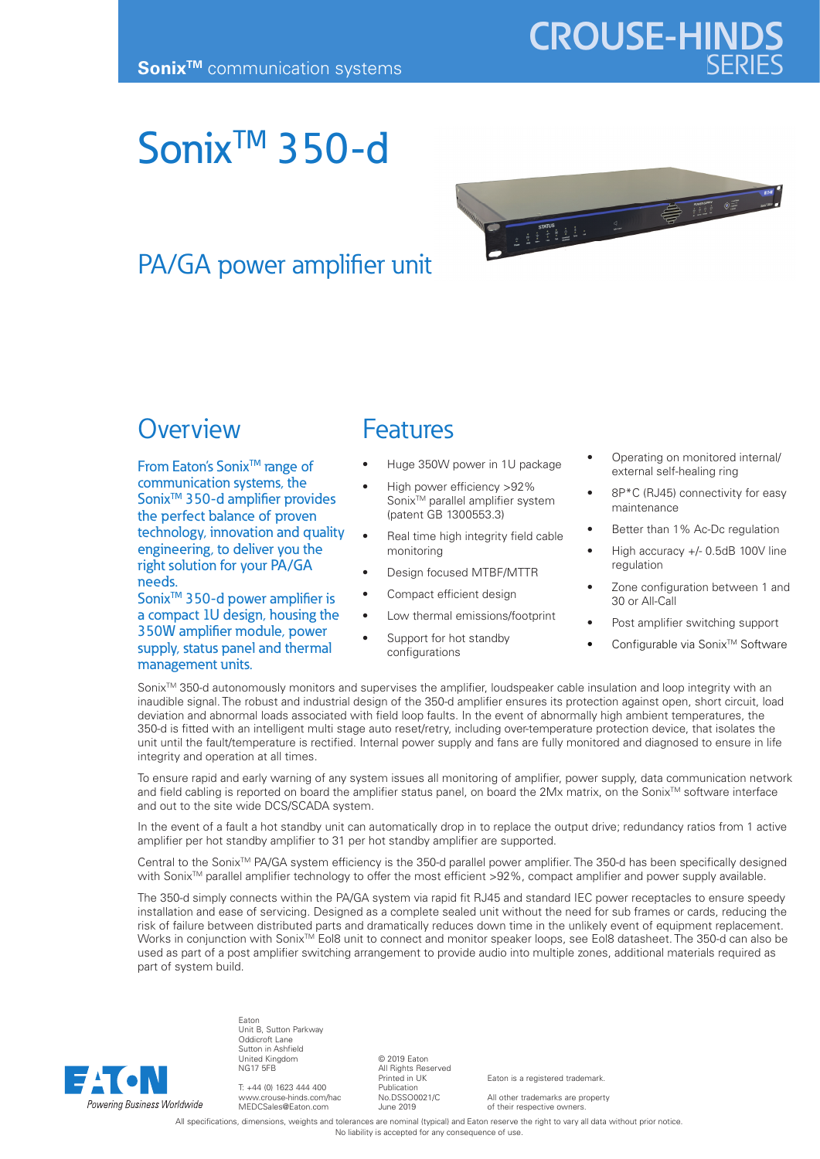## **CROUSE-HIND**

### Sonix<sup>™</sup> 350-d

# 

#### PA/GA power amplifier unit

#### **Overview**

From Eaton's Sonix<sup>™</sup> range of communication systems, the Sonix<sup>™</sup> 350-d amplifier provides the perfect balance of proven technology, innovation and quality engineering, to deliver you the right solution for your PA/GA needs.

Sonix<sup>™</sup> 350-d power amplifier is a compact 1U design, housing the 350W amplifier module, power supply, status panel and thermal management units.

#### Features

- Huge 350W power in 1U package
- High power efficiency >92% Sonix<sup>™</sup> parallel amplifier system (patent GB 1300553.3)
- Real time high integrity field cable monitoring
- Design focused MTBF/MTTR
- Compact efficient design
- Low thermal emissions/footprint
- Support for hot standby configurations
- Operating on monitored internal/ external self-healing ring
- 8P\*C (RJ45) connectivity for easy maintenance
- Better than 1% Ac-Dc regulation
- High accuracy +/- 0.5dB 100V line regulation
- Zone configuration between 1 and 30 or All-Call
- Post amplifier switching support
- Configurable via Sonix<sup>™</sup> Software

Sonix<sup>™</sup> 350-d autonomously monitors and supervises the amplifier, loudspeaker cable insulation and loop integrity with an inaudible signal. The robust and industrial design of the 350-d amplifier ensures its protection against open, short circuit, load deviation and abnormal loads associated with field loop faults. In the event of abnormally high ambient temperatures, the 350-d is fitted with an intelligent multi stage auto reset/retry, including over-temperature protection device, that isolates the unit until the fault/temperature is rectified. Internal power supply and fans are fully monitored and diagnosed to ensure in life integrity and operation at all times.

To ensure rapid and early warning of any system issues all monitoring of amplifier, power supply, data communication network and field cabling is reported on board the amplifier status panel, on board the 2Mx matrix, on the Sonix<sup>TM</sup> software interface and out to the site wide DCS/SCADA system.

In the event of a fault a hot standby unit can automatically drop in to replace the output drive; redundancy ratios from 1 active amplifier per hot standby amplifier to 31 per hot standby amplifier are supported.

Central to the Sonix<sup>TM</sup> PA/GA system efficiency is the 350-d parallel power amplifier. The 350-d has been specifically designed with Sonix™ parallel amplifier technology to offer the most efficient >92%, compact amplifier and power supply available.

The 350-d simply connects within the PA/GA system via rapid fit RJ45 and standard IEC power receptacles to ensure speedy installation and ease of servicing. Designed as a complete sealed unit without the need for sub frames or cards, reducing the risk of failure between distributed parts and dramatically reduces down time in the unlikely event of equipment replacement. Works in conjunction with Sonix<sup>™</sup> Eol8 unit to connect and monitor speaker loops, see Eol8 datasheet. The 350-d can also be used as part of a post amplifier switching arrangement to provide audio into multiple zones, additional materials required as part of system build.



Eaton Unit B, Sutton Parkway Oddicroft Lane Sutton in Ashfield United Kingdom NG17 5FB

T: +44 (0) 1623 444 400 www.crouse-hinds.com/hac MEDCSales@Eaton.com

© 2019 Eaton All Rights Reserved Printed in UK Publication No.DSSO0021/C June 2019

Eaton is a registered trademark.

All other trademarks are property of their respective owners.

All specifications, dimensions, weights and tolerances are nominal (typical) and Eaton reserve the right to vary all data without prior notice. No liability is accepted for any consequence of use.